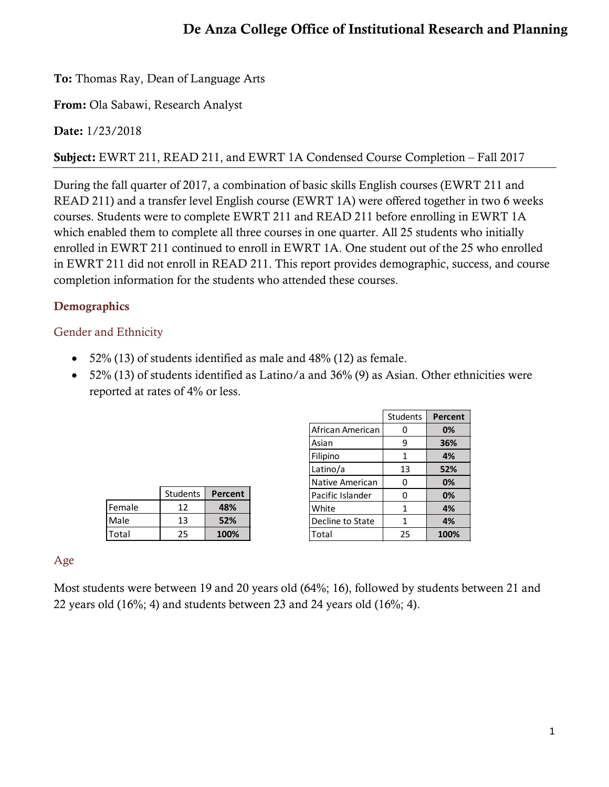# De Anza College Office of Institutional Research and Planning

To: Thomas Ray, Dean of Language Arts

From: Ola Sabawi, Research Analyst

Date: 1/23/2018

Subject: EWRT 211, READ 211, and EWRT 1A Condensed Course Completion – Fall 2017

During the fall quarter of 2017, a combination of basic skills English courses (EWRT 211 and READ 211) and a transfer level English course (EWRT 1A) were offered together in two 6 weeks courses. Students were to complete EWRT 211 and READ 211 before enrolling in EWRT 1A which enabled them to complete all three courses in one quarter. All 25 students who initially enrolled in EWRT 211 continued to enroll in EWRT 1A. One student out of the 25 who enrolled in EWRT 211 did not enroll in READ 211. This report provides demographic, success, and course completion information for the students who attended these courses.

# **Demographics**

## Gender and Ethnicity

- 52% (13) of students identified as male and 48% (12) as female.
- 52% (13) of students identified as Latino/a and 36% (9) as Asian. Other ethnicities were reported at rates of 4% or less.

|        | <b>Students</b> | Percent |
|--------|-----------------|---------|
| Female | 12              | 48%     |
| Male   | 13              | 52%     |
| Total  | -25.            | 100%    |

|                  | Students | Percent |
|------------------|----------|---------|
| African American | 0        | 0%      |
| Asian            | 9        | 36%     |
| Filipino         | 1        | 4%      |
| Latino/a         | 13       | 52%     |
| Native American  | 0        | 0%      |
| Pacific Islander | 0        | 0%      |
| White            | 1        | 4%      |
| Decline to State | 1        | 4%      |
| Total            | 25       | 100%    |

#### Age

Most students were between 19 and 20 years old (64%; 16), followed by students between 21 and 22 years old (16%; 4) and students between 23 and 24 years old (16%; 4).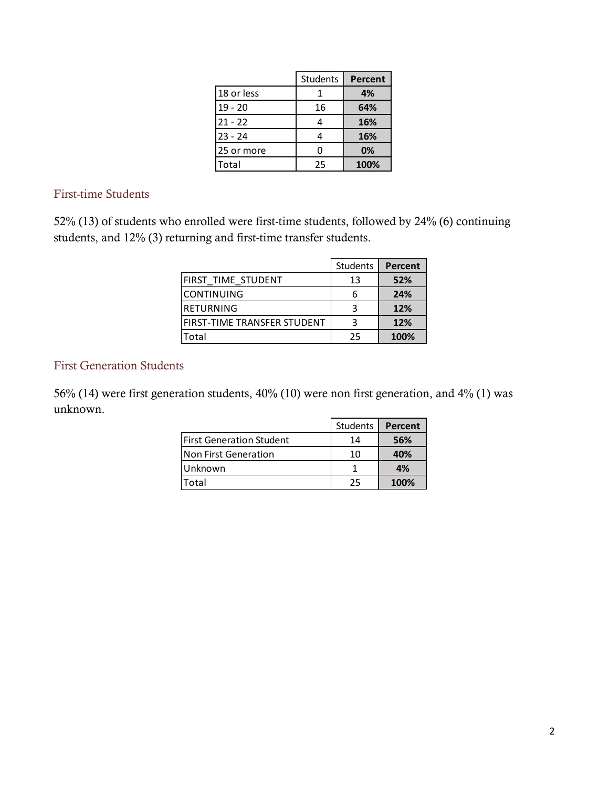|            | <b>Students</b> | <b>Percent</b> |
|------------|-----------------|----------------|
| 18 or less |                 | 4%             |
| $19 - 20$  | 16              | 64%            |
| $21 - 22$  | 4               | 16%            |
| $23 - 24$  | 4               | 16%            |
| 25 or more | ი               | 0%             |
| Total      | 25              | 100%           |

First-time Students

52% (13) of students who enrolled were first-time students, followed by 24% (6) continuing students, and 12% (3) returning and first-time transfer students.

|                                    | Students | Percent |
|------------------------------------|----------|---------|
| FIRST TIME STUDENT                 | 13       | 52%     |
| <b>CONTINUING</b>                  | 6        | 24%     |
| RETURNING                          | 3        | 12%     |
| <b>FIRST-TIME TRANSFER STUDENT</b> | ર        | 12%     |
| Total                              | 25       | 100%    |

#### First Generation Students

56% (14) were first generation students, 40% (10) were non first generation, and 4% (1) was unknown.

|                            | Students | Percent |
|----------------------------|----------|---------|
| l First Generation Student | 14       | 56%     |
| Non First Generation       | 10       | 40%     |
| Unknown                    |          | 4%      |
| otal.                      | 25       | 100%    |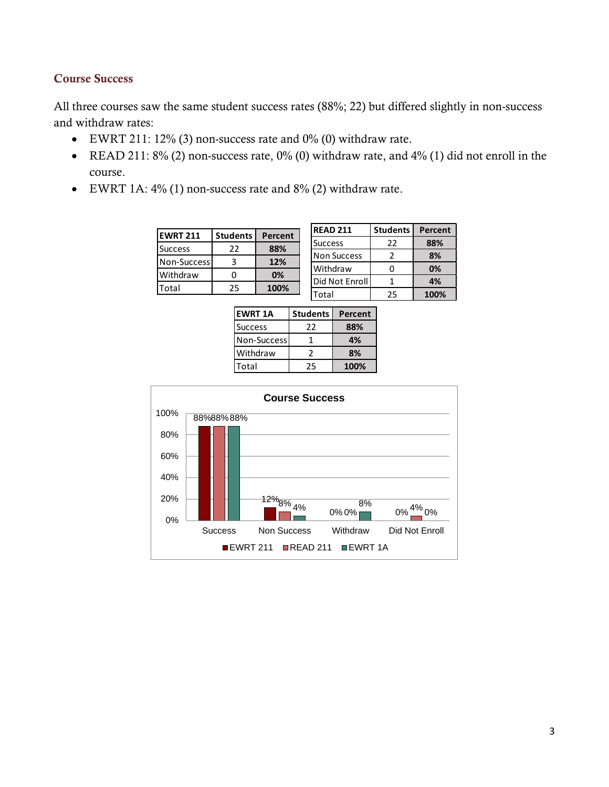#### Course Success

All three courses saw the same student success rates (88%; 22) but differed slightly in non-success and withdraw rates:

- EWRT 211: 12% (3) non-success rate and 0% (0) withdraw rate.
- READ 211: 8% (2) non-success rate, 0% (0) withdraw rate, and 4% (1) did not enroll in the course.
- EWRT 1A: 4% (1) non-success rate and 8% (2) withdraw rate.

| <b>EWRT 211</b> | <b>Students</b> | Percent |
|-----------------|-----------------|---------|
| <b>Success</b>  | 22              | 88%     |
| Non-Success     |                 | 12%     |
| Withdraw        |                 | 0%      |
| Total           | 25              | 100%    |

| <b>READ 211</b>    | <b>Students</b> | Percent |
|--------------------|-----------------|---------|
| <b>Success</b>     | 22              | 88%     |
| <b>Non Success</b> |                 | 8%      |
| Withdraw           | Ω               | 0%      |
| Did Not Enroll     |                 | 4%      |
| Total              | 25              | 100%    |

| <b>EWRT 1A</b> | <b>Students</b> | Percent |
|----------------|-----------------|---------|
| <b>Success</b> | 22              | 88%     |
| Non-Success    |                 | 4%      |
| Withdraw       | $\mathcal{L}$   | 8%      |
| Total          | 25              | 100%    |